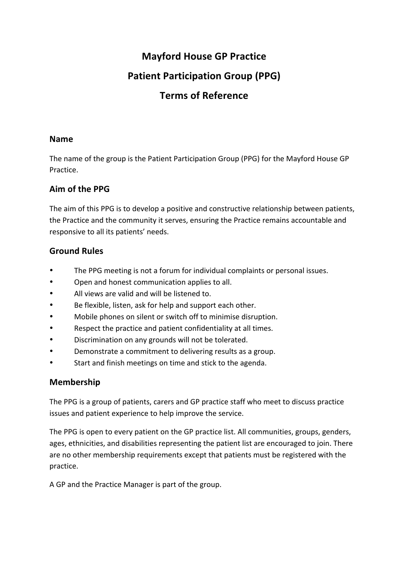## **Mayford House GP Practice**

# **Patient Participation Group (PPG)**

# **Terms of Reference**

#### **Name**

The name of the group is the Patient Participation Group (PPG) for the Mayford House GP Practice.

### Aim of the PPG

The aim of this PPG is to develop a positive and constructive relationship between patients, the Practice and the community it serves, ensuring the Practice remains accountable and responsive to all its patients' needs.

### **Ground Rules**

- The PPG meeting is not a forum for individual complaints or personal issues.
- Open and honest communication applies to all.
- All views are valid and will be listened to.
- Be flexible, listen, ask for help and support each other.
- Mobile phones on silent or switch off to minimise disruption.
- Respect the practice and patient confidentiality at all times.
- Discrimination on any grounds will not be tolerated.
- Demonstrate a commitment to delivering results as a group.
- Start and finish meetings on time and stick to the agenda.

#### **Membership**

The PPG is a group of patients, carers and GP practice staff who meet to discuss practice issues and patient experience to help improve the service.

The PPG is open to every patient on the GP practice list. All communities, groups, genders, ages, ethnicities, and disabilities representing the patient list are encouraged to join. There are no other membership requirements except that patients must be registered with the practice.

A GP and the Practice Manager is part of the group.